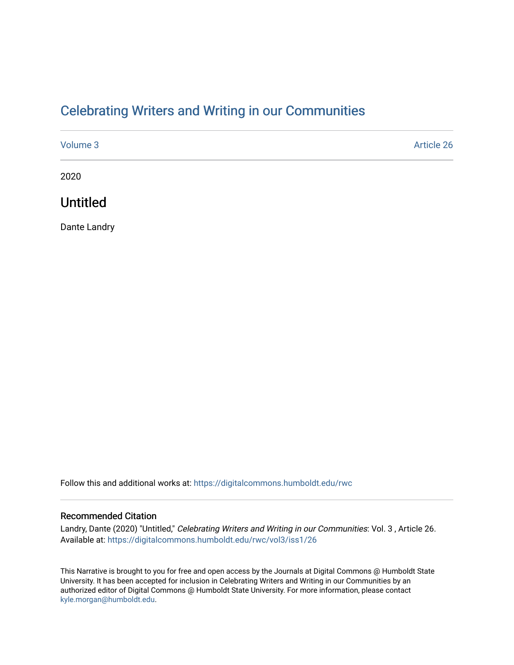### [Celebrating Writers and Writing in our Communities](https://digitalcommons.humboldt.edu/rwc)

| Volume 3 | Article 26 |
|----------|------------|
| 2020     |            |

## Untitled

Dante Landry

Follow this and additional works at: [https://digitalcommons.humboldt.edu/rwc](https://digitalcommons.humboldt.edu/rwc?utm_source=digitalcommons.humboldt.edu%2Frwc%2Fvol3%2Fiss1%2F26&utm_medium=PDF&utm_campaign=PDFCoverPages) 

#### Recommended Citation

Landry, Dante (2020) "Untitled," Celebrating Writers and Writing in our Communities: Vol. 3 , Article 26. Available at: [https://digitalcommons.humboldt.edu/rwc/vol3/iss1/26](https://digitalcommons.humboldt.edu/rwc/vol3/iss1/26?utm_source=digitalcommons.humboldt.edu%2Frwc%2Fvol3%2Fiss1%2F26&utm_medium=PDF&utm_campaign=PDFCoverPages) 

This Narrative is brought to you for free and open access by the Journals at Digital Commons @ Humboldt State University. It has been accepted for inclusion in Celebrating Writers and Writing in our Communities by an authorized editor of Digital Commons @ Humboldt State University. For more information, please contact [kyle.morgan@humboldt.edu](mailto:kyle.morgan@humboldt.edu).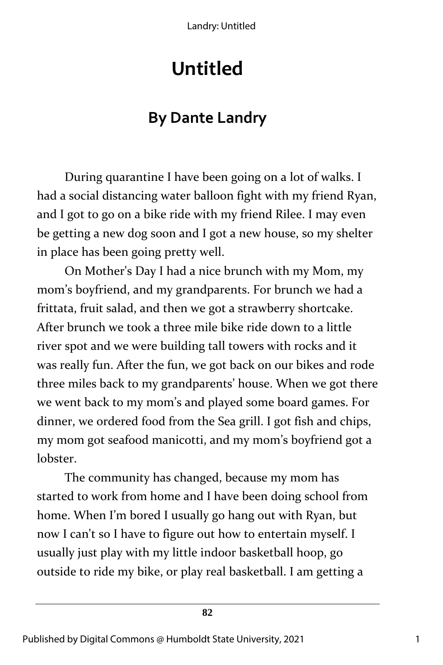Landry: Untitled

# **Untitled**

## **By Dante Landry**

During quarantine I have been going on a lot of walks. I had a social distancing water balloon fight with my friend Ryan, and I got to go on a bike ride with my friend Rilee. I may even be getting a new dog soon and I got a new house, so my shelter in place has been going pretty well.

On Mother's Day I had a nice brunch with my Mom, my mom's boyfriend, and my grandparents. For brunch we had a frittata, fruit salad, and then we got a strawberry shortcake. After brunch we took a three mile bike ride down to a little river spot and we were building tall towers with rocks and it was really fun. After the fun, we got back on our bikes and rode three miles back to my grandparents' house. When we got there we went back to my mom's and played some board games. For dinner, we ordered food from the Sea grill. I got fish and chips, my mom got seafood manicotti, and my mom's boyfriend got a lobster.

The community has changed, because my mom has started to work from home and I have been doing school from home. When I'm bored I usually go hang out with Ryan, but now I can't so I have to figure out how to entertain myself. I usually just play with my little indoor basketball hoop, go outside to ride my bike, or play real basketball. I am getting a